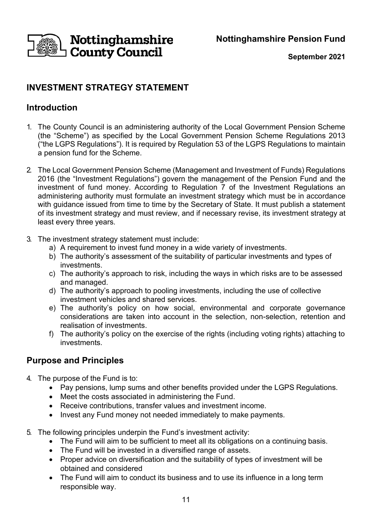**Nottinghamshire Pension Fund**



**September 2021**

# **INVESTMENT STRATEGY STATEMENT**

## **Introduction**

- 1. The County Council is an administering authority of the Local Government Pension Scheme (the "Scheme") as specified by the Local Government Pension Scheme Regulations 2013 ("the LGPS Regulations"). It is required by Regulation 53 of the LGPS Regulations to maintain a pension fund for the Scheme.
- 2. The Local Government Pension Scheme (Management and Investment of Funds) Regulations 2016 (the "Investment Regulations") govern the management of the Pension Fund and the investment of fund money. According to Regulation 7 of the Investment Regulations an administering authority must formulate an investment strategy which must be in accordance with guidance issued from time to time by the Secretary of State. It must publish a statement of its investment strategy and must review, and if necessary revise, its investment strategy at least every three years.
- 3. The investment strategy statement must include:
	- a) A requirement to invest fund money in a wide variety of investments.
	- b) The authority's assessment of the suitability of particular investments and types of investments.
	- c) The authority's approach to risk, including the ways in which risks are to be assessed and managed.
	- d) The authority's approach to pooling investments, including the use of collective investment vehicles and shared services.
	- e) The authority's policy on how social, environmental and corporate governance considerations are taken into account in the selection, non-selection, retention and realisation of investments.
	- f) The authority's policy on the exercise of the rights (including voting rights) attaching to investments.

### **Purpose and Principles**

- 4. The purpose of the Fund is to:
	- Pay pensions, lump sums and other benefits provided under the LGPS Regulations.
	- Meet the costs associated in administering the Fund.
	- Receive contributions, transfer values and investment income.
	- Invest any Fund money not needed immediately to make payments.
- 5. The following principles underpin the Fund's investment activity:
	- The Fund will aim to be sufficient to meet all its obligations on a continuing basis.
	- The Fund will be invested in a diversified range of assets.
	- Proper advice on diversification and the suitability of types of investment will be obtained and considered
	- The Fund will aim to conduct its business and to use its influence in a long term responsible way.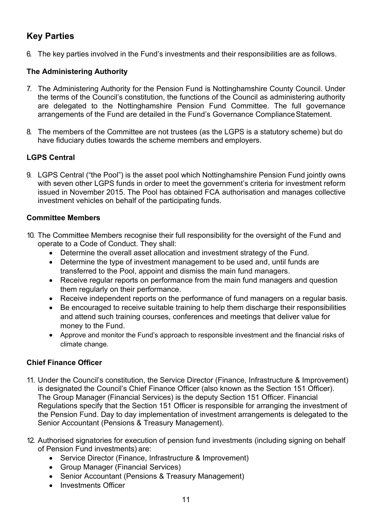## **Key Parties**

6. The key parties involved in the Fund's investments and their responsibilities are as follows.

#### **The Administering Authority**

- 7. The Administering Authority for the Pension Fund is Nottinghamshire County Council. Under the terms of the Council's constitution, the functions of the Council as administering authority are delegated to the Nottinghamshire Pension Fund Committee. The full governance arrangements of the Fund are detailed in the Fund's Governance ComplianceStatement.
- 8. The members of the Committee are not trustees (as the LGPS is a statutory scheme) but do have fiduciary duties towards the scheme members and employers.

#### **LGPS Central**

9. LGPS Central ("the Pool") is the asset pool which Nottinghamshire Pension Fund jointly owns with seven other LGPS funds in order to meet the government's criteria for investment reform issued in November 2015. The Pool has obtained FCA authorisation and manages collective investment vehicles on behalf of the participating funds.

#### **Committee Members**

- 10. The Committee Members recognise their full responsibility for the oversight of the Fund and operate to a Code of Conduct. They shall:
	- Determine the overall asset allocation and investment strategy of the Fund.
	- Determine the type of investment management to be used and, until funds are transferred to the Pool, appoint and dismiss the main fund managers.
	- Receive regular reports on performance from the main fund managers and question them regularly on their performance.
	- Receive independent reports on the performance of fund managers on a regular basis.
	- Be encouraged to receive suitable training to help them discharge their responsibilities and attend such training courses, conferences and meetings that deliver value for money to the Fund.
	- Approve and monitor the Fund's approach to responsible investment and the financial risks of climate change.

#### **Chief Finance Officer**

- 11. Under the Council's constitution, the Service Director (Finance, Infrastructure & Improvement) is designated the Council's Chief Finance Officer (also known as the Section 151 Officer). The Group Manager (Financial Services) is the deputy Section 151 Officer. Financial Regulations specify that the Section 151 Officer is responsible for arranging the investment of the Pension Fund. Day to day implementation of investment arrangements is delegated to the Senior Accountant (Pensions & Treasury Management).
- 12. Authorised signatories for execution of pension fund investments (including signing on behalf of Pension Fund investments) are:
	- Service Director (Finance, Infrastructure & Improvement)
	- Group Manager (Financial Services)
	- Senior Accountant (Pensions & Treasury Management)
	- Investments Officer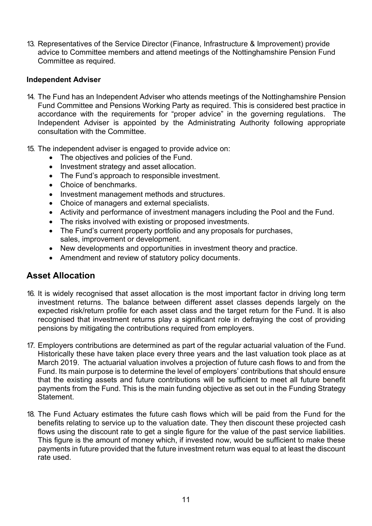13. Representatives of the Service Director (Finance, Infrastructure & Improvement) provide advice to Committee members and attend meetings of the Nottinghamshire Pension Fund Committee as required.

#### **Independent Adviser**

- 14. The Fund has an Independent Adviser who attends meetings of the Nottinghamshire Pension Fund Committee and Pensions Working Party as required. This is considered best practice in accordance with the requirements for "proper advice" in the governing regulations. The Independent Adviser is appointed by the Administrating Authority following appropriate consultation with the Committee.
- 15. The independent adviser is engaged to provide advice on:
	- The objectives and policies of the Fund.
	- Investment strategy and asset allocation.
	- The Fund's approach to responsible investment.
	- Choice of benchmarks
	- Investment management methods and structures.
	- Choice of managers and external specialists.
	- Activity and performance of investment managers including the Pool and the Fund.
	- The risks involved with existing or proposed investments.
	- The Fund's current property portfolio and any proposals for purchases, sales, improvement or development.
	- New developments and opportunities in investment theory and practice.
	- Amendment and review of statutory policy documents.

### **Asset Allocation**

- 16. It is widely recognised that asset allocation is the most important factor in driving long term investment returns. The balance between different asset classes depends largely on the expected risk/return profile for each asset class and the target return for the Fund. It is also recognised that investment returns play a significant role in defraying the cost of providing pensions by mitigating the contributions required from employers.
- 17. Employers contributions are determined as part of the regular actuarial valuation of the Fund. Historically these have taken place every three years and the last valuation took place as at March 2019. The actuarial valuation involves a projection of future cash flows to and from the Fund. Its main purpose is to determine the level of employers' contributions that should ensure that the existing assets and future contributions will be sufficient to meet all future benefit payments from the Fund. This is the main funding objective as set out in the Funding Strategy Statement.
- 18. The Fund Actuary estimates the future cash flows which will be paid from the Fund for the benefits relating to service up to the valuation date. They then discount these projected cash flows using the discount rate to get a single figure for the value of the past service liabilities. This figure is the amount of money which, if invested now, would be sufficient to make these payments in future provided that the future investment return was equal to at least the discount rate used.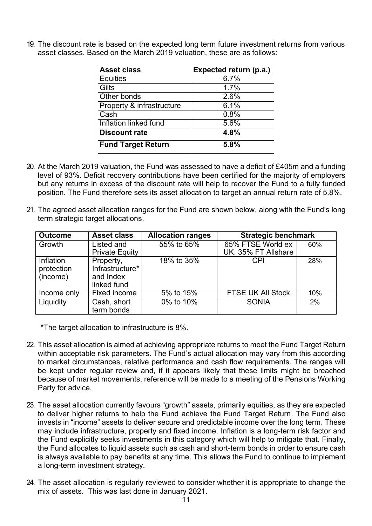19. The discount rate is based on the expected long term future investment returns from various asset classes. Based on the March 2019 valuation, these are as follows:

| <b>Asset class</b>        | Expected return (p.a.) |
|---------------------------|------------------------|
| <b>Equities</b>           | 6.7%                   |
| Gilts                     | 1.7%                   |
| Other bonds               | 2.6%                   |
| Property & infrastructure | 6.1%                   |
| Cash                      | 0.8%                   |
| Inflation linked fund     | 5.6%                   |
| <b>Discount rate</b>      | 4.8%                   |
| <b>Fund Target Return</b> | 5.8%                   |

- 20. At the March 2019 valuation, the Fund was assessed to have a deficit of £405m and a funding level of 93%. Deficit recovery contributions have been certified for the majority of employers but any returns in excess of the discount rate will help to recover the Fund to a fully funded position. The Fund therefore sets its asset allocation to target an annual return rate of 5.8%.
- 21. The agreed asset allocation ranges for the Fund are shown below, along with the Fund's long term strategic target allocations.

| <b>Outcome</b>                      | <b>Asset class</b>                                       | <b>Allocation ranges</b> | <b>Strategic benchmark</b> |     |
|-------------------------------------|----------------------------------------------------------|--------------------------|----------------------------|-----|
| Growth                              | Listed and                                               | 55% to 65%               | 65% FTSE World ex          | 60% |
|                                     | <b>Private Equity</b>                                    |                          | UK. 35% FT Allshare        |     |
| Inflation<br>protection<br>(income) | Property,<br>Infrastructure*<br>and Index<br>linked fund | 18% to 35%               | <b>CPI</b>                 | 28% |
| Income only                         | Fixed income                                             | 5% to 15%                | <b>FTSE UK All Stock</b>   | 10% |
| Liquidity                           | Cash, short<br>term bonds                                | 0% to 10%                | <b>SONIA</b>               | 2%  |

\*The target allocation to infrastructure is 8%.

- 22. This asset allocation is aimed at achieving appropriate returns to meet the Fund Target Return within acceptable risk parameters. The Fund's actual allocation may vary from this according to market circumstances, relative performance and cash flow requirements. The ranges will be kept under regular review and, if it appears likely that these limits might be breached because of market movements, reference will be made to a meeting of the Pensions Working Party for advice.
- 23. The asset allocation currently favours "growth" assets, primarily equities, as they are expected to deliver higher returns to help the Fund achieve the Fund Target Return. The Fund also invests in "income" assets to deliver secure and predictable income over the long term. These may include infrastructure, property and fixed income. Inflation is a long-term risk factor and the Fund explicitly seeks investments in this category which will help to mitigate that. Finally, the Fund allocates to liquid assets such as cash and short-term bonds in order to ensure cash is always available to pay benefits at any time. This allows the Fund to continue to implement a long-term investment strategy.
- 24. The asset allocation is regularly reviewed to consider whether it is appropriate to change the mix of assets. This was last done in January 2021.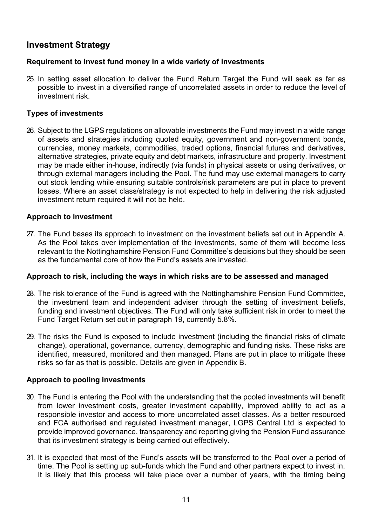## **Investment Strategy**

#### **Requirement to invest fund money in a wide variety of investments**

25. In setting asset allocation to deliver the Fund Return Target the Fund will seek as far as possible to invest in a diversified range of uncorrelated assets in order to reduce the level of investment risk.

#### **Types of investments**

26. Subject to the LGPS regulations on allowable investments the Fund may invest in a wide range of assets and strategies including quoted equity, government and non-government bonds, currencies, money markets, commodities, traded options, financial futures and derivatives, alternative strategies, private equity and debt markets, infrastructure and property. Investment may be made either in-house, indirectly (via funds) in physical assets or using derivatives, or through external managers including the Pool. The fund may use external managers to carry out stock lending while ensuring suitable controls/risk parameters are put in place to prevent losses. Where an asset class/strategy is not expected to help in delivering the risk adjusted investment return required it will not be held.

#### **Approach to investment**

27. The Fund bases its approach to investment on the investment beliefs set out in Appendix A. As the Pool takes over implementation of the investments, some of them will become less relevant to the Nottinghamshire Pension Fund Committee's decisions but they should be seen as the fundamental core of how the Fund's assets are invested.

#### **Approach to risk, including the ways in which risks are to be assessed and managed**

- 28. The risk tolerance of the Fund is agreed with the Nottinghamshire Pension Fund Committee, the investment team and independent adviser through the setting of investment beliefs, funding and investment objectives. The Fund will only take sufficient risk in order to meet the Fund Target Return set out in paragraph 19, currently 5.8%.
- 29. The risks the Fund is exposed to include investment (including the financial risks of climate change), operational, governance, currency, demographic and funding risks. These risks are identified, measured, monitored and then managed. Plans are put in place to mitigate these risks so far as that is possible. Details are given in Appendix B.

#### **Approach to pooling investments**

- 30. The Fund is entering the Pool with the understanding that the pooled investments will benefit from lower investment costs, greater investment capability, improved ability to act as a responsible investor and access to more uncorrelated asset classes. As a better resourced and FCA authorised and regulated investment manager, LGPS Central Ltd is expected to provide improved governance, transparency and reporting giving the Pension Fund assurance that its investment strategy is being carried out effectively.
- 31. It is expected that most of the Fund's assets will be transferred to the Pool over a period of time. The Pool is setting up sub-funds which the Fund and other partners expect to invest in. It is likely that this process will take place over a number of years, with the timing being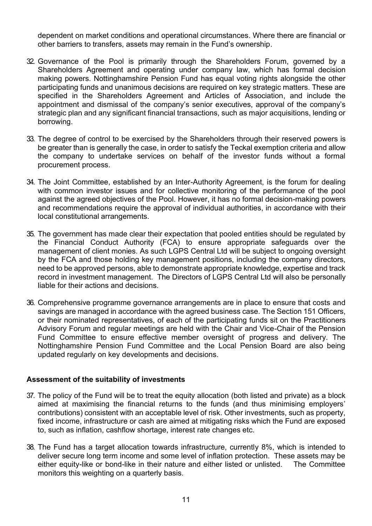dependent on market conditions and operational circumstances. Where there are financial or other barriers to transfers, assets may remain in the Fund's ownership.

- 32. Governance of the Pool is primarily through the Shareholders Forum, governed by a Shareholders Agreement and operating under company law, which has formal decision making powers. Nottinghamshire Pension Fund has equal voting rights alongside the other participating funds and unanimous decisions are required on key strategic matters. These are specified in the Shareholders Agreement and Articles of Association, and include the appointment and dismissal of the company's senior executives, approval of the company's strategic plan and any significant financial transactions, such as major acquisitions, lending or borrowing.
- 33. The degree of control to be exercised by the Shareholders through their reserved powers is be greater than is generally the case, in order to satisfy the Teckal exemption criteria and allow the company to undertake services on behalf of the investor funds without a formal procurement process.
- 34. The Joint Committee, established by an Inter-Authority Agreement, is the forum for dealing with common investor issues and for collective monitoring of the performance of the pool against the agreed objectives of the Pool. However, it has no formal decision-making powers and recommendations require the approval of individual authorities, in accordance with their local constitutional arrangements.
- 35. The government has made clear their expectation that pooled entities should be regulated by the Financial Conduct Authority (FCA) to ensure appropriate safeguards over the management of client monies. As such LGPS Central Ltd will be subject to ongoing oversight by the FCA and those holding key management positions, including the company directors, need to be approved persons, able to demonstrate appropriate knowledge, expertise and track record in investment management. The Directors of LGPS Central Ltd will also be personally liable for their actions and decisions.
- 36. Comprehensive programme governance arrangements are in place to ensure that costs and savings are managed in accordance with the agreed business case. The Section 151 Officers, or their nominated representatives, of each of the participating funds sit on the Practitioners Advisory Forum and regular meetings are held with the Chair and Vice-Chair of the Pension Fund Committee to ensure effective member oversight of progress and delivery. The Nottinghamshire Pension Fund Committee and the Local Pension Board are also being updated regularly on key developments and decisions.

#### **Assessment of the suitability of investments**

- 37. The policy of the Fund will be to treat the equity allocation (both listed and private) as a block aimed at maximising the financial returns to the funds (and thus minimising employers' contributions) consistent with an acceptable level of risk. Other investments, such as property, fixed income, infrastructure or cash are aimed at mitigating risks which the Fund are exposed to, such as inflation, cashflow shortage, interest rate changes etc.
- 38. The Fund has a target allocation towards infrastructure, currently 8%, which is intended to deliver secure long term income and some level of inflation protection. These assets may be either equity-like or bond-like in their nature and either listed or unlisted. The Committee monitors this weighting on a quarterly basis.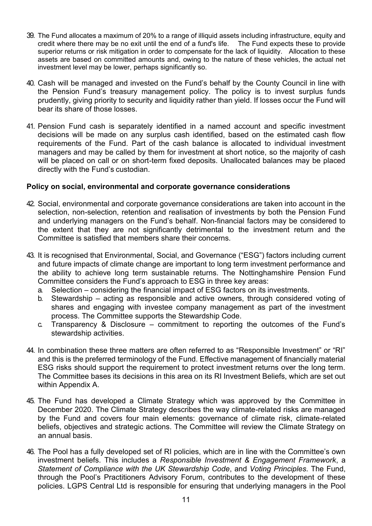- 39. The Fund allocates a maximum of 20% to a range of illiquid assets including infrastructure, equity and credit where there may be no exit until the end of a fund's life. The Fund expects these to provide credit where there may be no exit until the end of a fund's life. superior returns or risk mitigation in order to compensate for the lack of liquidity. Allocation to these assets are based on committed amounts and, owing to the nature of these vehicles, the actual net investment level may be lower, perhaps significantly so.
- 40. Cash will be managed and invested on the Fund's behalf by the County Council in line with the Pension Fund's treasury management policy. The policy is to invest surplus funds prudently, giving priority to security and liquidity rather than yield. If losses occur the Fund will bear its share of those losses.
- 41. Pension Fund cash is separately identified in a named account and specific investment decisions will be made on any surplus cash identified, based on the estimated cash flow requirements of the Fund. Part of the cash balance is allocated to individual investment managers and may be called by them for investment at short notice, so the majority of cash will be placed on call or on short-term fixed deposits. Unallocated balances may be placed directly with the Fund's custodian.

#### **Policy on social, environmental and corporate governance considerations**

- 42. Social, environmental and corporate governance considerations are taken into account in the selection, non-selection, retention and realisation of investments by both the Pension Fund and underlying managers on the Fund's behalf. Non-financial factors may be considered to the extent that they are not significantly detrimental to the investment return and the Committee is satisfied that members share their concerns.
- 43. It is recognised that Environmental, Social, and Governance ("ESG") factors including current and future impacts of climate change are important to long term investment performance and the ability to achieve long term sustainable returns. The Nottinghamshire Pension Fund Committee considers the Fund's approach to ESG in three key areas:
	- a. Selection considering the financial impact of ESG factors on its investments.
	- b. Stewardship acting as responsible and active owners, through considered voting of shares and engaging with investee company management as part of the investment process. The Committee supports the Stewardship Code.
	- c. Transparency & Disclosure commitment to reporting the outcomes of the Fund's stewardship activities.
- 44. In combination these three matters are often referred to as "Responsible Investment" or "RI" and this is the preferred terminology of the Fund. Effective management of financially material ESG risks should support the requirement to protect investment returns over the long term. The Committee bases its decisions in this area on its RI Investment Beliefs, which are set out within Appendix A.
- 45. The Fund has developed a Climate Strategy which was approved by the Committee in December 2020. The Climate Strategy describes the way climate-related risks are managed by the Fund and covers four main elements: governance of climate risk, climate-related beliefs, objectives and strategic actions. The Committee will review the Climate Strategy on an annual basis.
- 46. The Pool has a fully developed set of RI policies, which are in line with the Committee's own investment beliefs. This includes a *Responsible Investment & Engagement Framework*, a *Statement of Compliance with the UK Stewardship Code*, and *Voting Principles*. The Fund, through the Pool's Practitioners Advisory Forum, contributes to the development of these policies. LGPS Central Ltd is responsible for ensuring that underlying managers in the Pool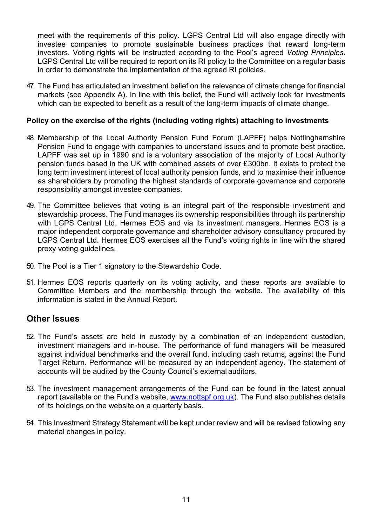meet with the requirements of this policy. LGPS Central Ltd will also engage directly with investee companies to promote sustainable business practices that reward long-term investors. Voting rights will be instructed according to the Pool's agreed *Voting Principles*. LGPS Central Ltd will be required to report on its RI policy to the Committee on a regular basis in order to demonstrate the implementation of the agreed RI policies.

47. The Fund has articulated an investment belief on the relevance of climate change for financial markets (see Appendix A). In line with this belief, the Fund will actively look for investments which can be expected to benefit as a result of the long-term impacts of climate change.

#### **Policy on the exercise of the rights (including voting rights) attaching to investments**

- 48. Membership of the Local Authority Pension Fund Forum (LAPFF) helps Nottinghamshire Pension Fund to engage with companies to understand issues and to promote best practice. LAPFF was set up in 1990 and is a voluntary association of the majority of Local Authority pension funds based in the UK with combined assets of over £300bn. It exists to protect the long term investment interest of local authority pension funds, and to maximise their influence as shareholders by promoting the highest standards of corporate governance and corporate responsibility amongst investee companies.
- 49. The Committee believes that voting is an integral part of the responsible investment and stewardship process. The Fund manages its ownership responsibilities through its partnership with LGPS Central Ltd, Hermes EOS and via its investment managers. Hermes EOS is a major independent corporate governance and shareholder advisory consultancy procured by LGPS Central Ltd. Hermes EOS exercises all the Fund's voting rights in line with the shared proxy voting guidelines.
- 50. The Pool is a Tier 1 signatory to the Stewardship Code.
- 51. Hermes EOS reports quarterly on its voting activity, and these reports are available to Committee Members and the membership through the website. The availability of this information is stated in the Annual Report.

### **Other Issues**

- 52. The Fund's assets are held in custody by a combination of an independent custodian, investment managers and in-house. The performance of fund managers will be measured against individual benchmarks and the overall fund, including cash returns, against the Fund Target Return. Performance will be measured by an independent agency. The statement of accounts will be audited by the County Council's external auditors.
- 53. The investment management arrangements of the Fund can be found in the latest annual report (available on the Fund's website, [www.nottspf.org.uk\)](about:blank). The Fund also publishes details of its holdings on the website on a quarterly basis.
- 54. This Investment Strategy Statement will be kept under review and will be revised following any material changes in policy.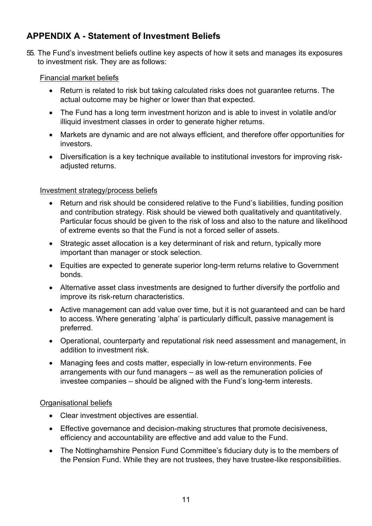## **APPENDIX A - Statement of Investment Beliefs**

55. The Fund's investment beliefs outline key aspects of how it sets and manages its exposures to investment risk. They are as follows:

### Financial market beliefs

- Return is related to risk but taking calculated risks does not guarantee returns. The actual outcome may be higher or lower than that expected.
- The Fund has a long term investment horizon and is able to invest in volatile and/or illiquid investment classes in order to generate higher returns.
- Markets are dynamic and are not always efficient, and therefore offer opportunities for investors.
- Diversification is a key technique available to institutional investors for improving riskadjusted returns.

#### Investment strategy/process beliefs

- Return and risk should be considered relative to the Fund's liabilities, funding position and contribution strategy. Risk should be viewed both qualitatively and quantitatively. Particular focus should be given to the risk of loss and also to the nature and likelihood of extreme events so that the Fund is not a forced seller of assets.
- Strategic asset allocation is a key determinant of risk and return, typically more important than manager or stock selection.
- Equities are expected to generate superior long-term returns relative to Government bonds.
- Alternative asset class investments are designed to further diversify the portfolio and improve its risk-return characteristics.
- Active management can add value over time, but it is not guaranteed and can be hard to access. Where generating 'alpha' is particularly difficult, passive management is preferred.
- Operational, counterparty and reputational risk need assessment and management, in addition to investment risk.
- Managing fees and costs matter, especially in low-return environments. Fee arrangements with our fund managers – as well as the remuneration policies of investee companies – should be aligned with the Fund's long-term interests.

#### Organisational beliefs

- Clear investment objectives are essential.
- Effective governance and decision-making structures that promote decisiveness, efficiency and accountability are effective and add value to the Fund.
- The Nottinghamshire Pension Fund Committee's fiduciary duty is to the members of the Pension Fund. While they are not trustees, they have trustee-like responsibilities.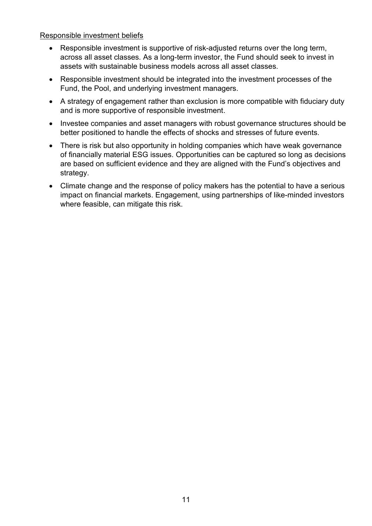#### Responsible investment beliefs

- Responsible investment is supportive of risk-adjusted returns over the long term, across all asset classes. As a long-term investor, the Fund should seek to invest in assets with sustainable business models across all asset classes.
- Responsible investment should be integrated into the investment processes of the Fund, the Pool, and underlying investment managers.
- A strategy of engagement rather than exclusion is more compatible with fiduciary duty and is more supportive of responsible investment.
- Investee companies and asset managers with robust governance structures should be better positioned to handle the effects of shocks and stresses of future events.
- There is risk but also opportunity in holding companies which have weak governance of financially material ESG issues. Opportunities can be captured so long as decisions are based on sufficient evidence and they are aligned with the Fund's objectives and strategy.
- Climate change and the response of policy makers has the potential to have a serious impact on financial markets. Engagement, using partnerships of like-minded investors where feasible, can mitigate this risk.